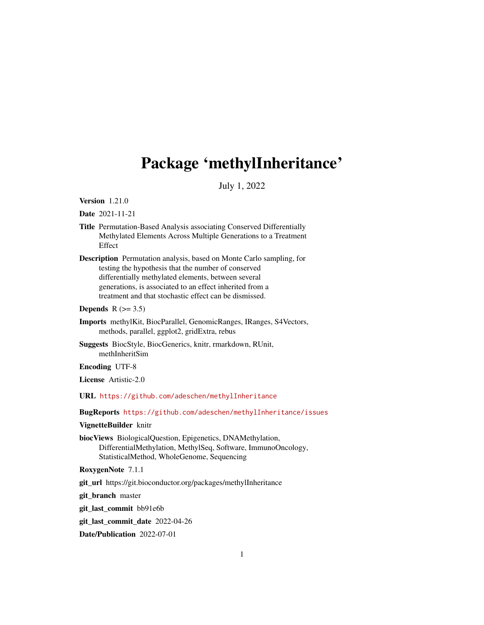# Package 'methylInheritance'

July 1, 2022

Version 1.21.0

Date 2021-11-21

- Title Permutation-Based Analysis associating Conserved Differentially Methylated Elements Across Multiple Generations to a Treatment Effect
- Description Permutation analysis, based on Monte Carlo sampling, for testing the hypothesis that the number of conserved differentially methylated elements, between several generations, is associated to an effect inherited from a treatment and that stochastic effect can be dismissed.

Depends  $R$  ( $> = 3.5$ )

- Imports methylKit, BiocParallel, GenomicRanges, IRanges, S4Vectors, methods, parallel, ggplot2, gridExtra, rebus
- Suggests BiocStyle, BiocGenerics, knitr, rmarkdown, RUnit, methInheritSim

Encoding UTF-8

License Artistic-2.0

URL <https://github.com/adeschen/methylInheritance>

BugReports <https://github.com/adeschen/methylInheritance/issues>

VignetteBuilder knitr

biocViews BiologicalQuestion, Epigenetics, DNAMethylation, DifferentialMethylation, MethylSeq, Software, ImmunoOncology, StatisticalMethod, WholeGenome, Sequencing

RoxygenNote 7.1.1

git\_url https://git.bioconductor.org/packages/methylInheritance

git\_branch master

git\_last\_commit bb91e6b

git\_last\_commit\_date 2022-04-26

Date/Publication 2022-07-01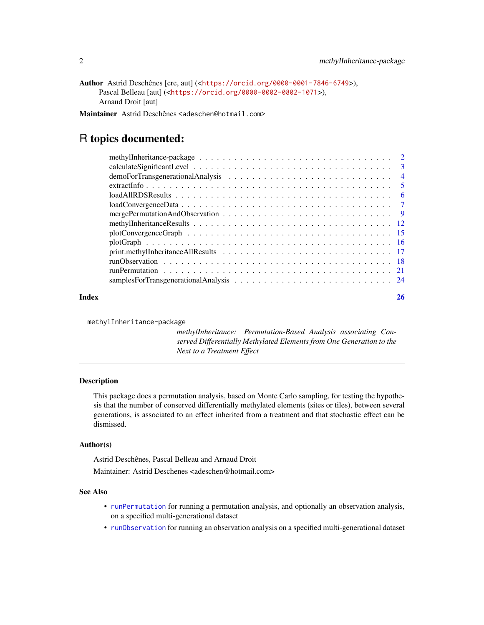<span id="page-1-0"></span>Author Astrid Deschênes [cre, aut] (<<https://orcid.org/0000-0001-7846-6749>>), Pascal Belleau [aut] (<<https://orcid.org/0000-0002-0802-1071>>), Arnaud Droit [aut]

Maintainer Astrid Deschênes <adeschen@hotmail.com>

# R topics documented:

| Index | 26 |
|-------|----|
|       |    |
|       |    |
|       |    |
|       |    |
|       |    |
|       |    |
|       |    |
|       |    |
|       |    |
|       |    |
|       |    |
|       |    |
|       |    |
|       |    |

methylInheritance-package

*methylInheritance: Permutation-Based Analysis associating Conserved Differentially Methylated Elements from One Generation to the Next to a Treatment Effect*

#### Description

This package does a permutation analysis, based on Monte Carlo sampling, for testing the hypothesis that the number of conserved differentially methylated elements (sites or tiles), between several generations, is associated to an effect inherited from a treatment and that stochastic effect can be dismissed.

#### Author(s)

Astrid Deschênes, Pascal Belleau and Arnaud Droit

Maintainer: Astrid Deschenes <adeschen@hotmail.com>

#### See Also

- [runPermutation](#page-20-1) for running a permutation analysis, and optionally an observation analysis, on a specified multi-generational dataset
- [runObservation](#page-17-1) for running an observation analysis on a specified multi-generational dataset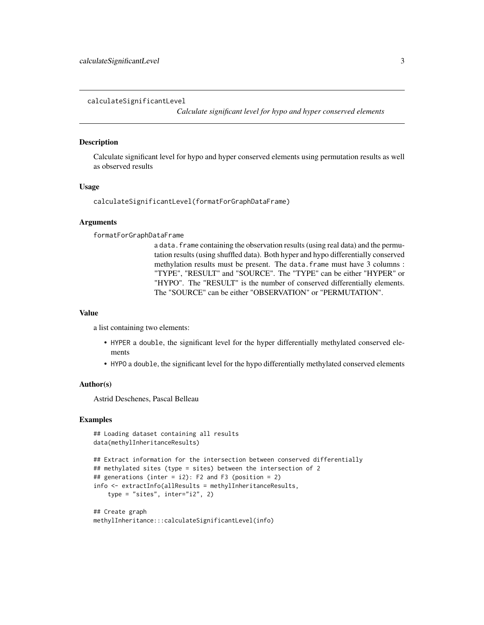<span id="page-2-0"></span>calculateSignificantLevel

*Calculate significant level for hypo and hyper conserved elements*

#### Description

Calculate significant level for hypo and hyper conserved elements using permutation results as well as observed results

#### Usage

calculateSignificantLevel(formatForGraphDataFrame)

#### Arguments

formatForGraphDataFrame

a data. frame containing the observation results (using real data) and the permutation results (using shuffled data). Both hyper and hypo differentially conserved methylation results must be present. The data.frame must have 3 columns : "TYPE", "RESULT" and "SOURCE". The "TYPE" can be either "HYPER" or "HYPO". The "RESULT" is the number of conserved differentially elements. The "SOURCE" can be either "OBSERVATION" or "PERMUTATION".

#### Value

a list containing two elements:

- HYPER a double, the significant level for the hyper differentially methylated conserved elements
- HYPO a double, the significant level for the hypo differentially methylated conserved elements

#### Author(s)

Astrid Deschenes, Pascal Belleau

```
## Loading dataset containing all results
data(methylInheritanceResults)
```

```
## Extract information for the intersection between conserved differentially
## methylated sites (type = sites) between the intersection of 2
## generations (inter = i2): F2 and F3 (position = 2)
info <- extractInfo(allResults = methylInheritanceResults,
    type = "sites", inter="i2", 2)
```

```
## Create graph
methylInheritance:::calculateSignificantLevel(info)
```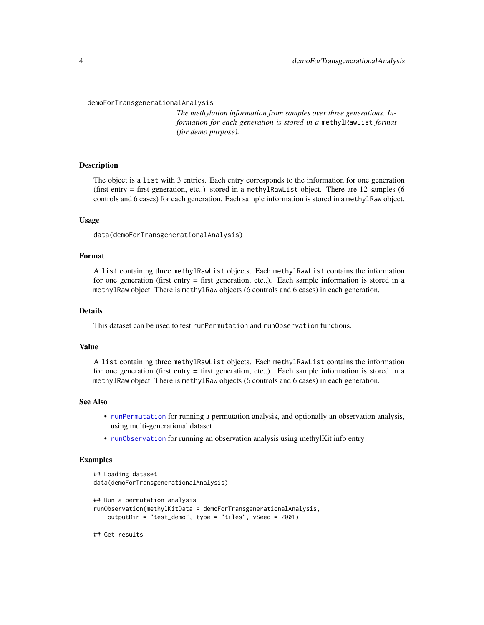<span id="page-3-0"></span>demoForTransgenerationalAnalysis

*The methylation information from samples over three generations. Information for each generation is stored in a* methylRawList *format (for demo purpose).*

#### Description

The object is a list with 3 entries. Each entry corresponds to the information for one generation (first entry  $=$  first generation, etc..) stored in a methylRawList object. There are 12 samples (6) controls and 6 cases) for each generation. Each sample information is stored in a methylRaw object.

#### Usage

data(demoForTransgenerationalAnalysis)

#### Format

A list containing three methylRawList objects. Each methylRawList contains the information for one generation (first entry = first generation, etc..). Each sample information is stored in a methylRaw object. There is methylRaw objects (6 controls and 6 cases) in each generation.

#### Details

This dataset can be used to test runPermutation and runObservation functions.

#### Value

A list containing three methylRawList objects. Each methylRawList contains the information for one generation (first entry = first generation, etc..). Each sample information is stored in a methylRaw object. There is methylRaw objects (6 controls and 6 cases) in each generation.

#### See Also

- [runPermutation](#page-20-1) for running a permutation analysis, and optionally an observation analysis, using multi-generational dataset
- [runObservation](#page-17-1) for running an observation analysis using methylKit info entry

```
## Loading dataset
data(demoForTransgenerationalAnalysis)
## Run a permutation analysis
runObservation(methylKitData = demoForTransgenerationalAnalysis,
   outputDir = "test_demo", type = "tiles", vSeed = 2001)
## Get results
```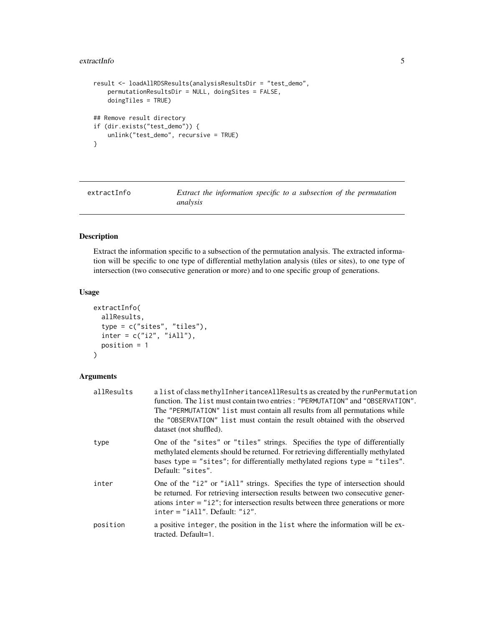#### <span id="page-4-0"></span>extractInfo 5

```
result <- loadAllRDSResults(analysisResultsDir = "test_demo",
    permutationResultsDir = NULL, doingSites = FALSE,
    doingTiles = TRUE)
## Remove result directory
if (dir.exists("test_demo")) {
   unlink("test_demo", recursive = TRUE)
}
```
<span id="page-4-1"></span>extractInfo *Extract the information specific to a subsection of the permutation analysis*

# Description

Extract the information specific to a subsection of the permutation analysis. The extracted information will be specific to one type of differential methylation analysis (tiles or sites), to one type of intersection (two consecutive generation or more) and to one specific group of generations.

#### Usage

```
extractInfo(
  allResults,
  type = c("sites", "tiles"),
  inter = c("i2", "iAll"),
 position = 1
\lambda
```
# Arguments

| allResults | a list of class methylInheritanceAllResults as created by the runPermutation<br>function. The list must contain two entries: "PERMUTATION" and "OBSERVATION".<br>The "PERMUTATION" list must contain all results from all permutations while<br>the "OBSERVATION" list must contain the result obtained with the observed<br>dataset (not shuffled). |
|------------|------------------------------------------------------------------------------------------------------------------------------------------------------------------------------------------------------------------------------------------------------------------------------------------------------------------------------------------------------|
| type       | One of the "sites" or "tiles" strings. Specifies the type of differentially<br>methylated elements should be returned. For retrieving differentially methylated<br>bases type = "sites"; for differentially methylated regions type = "tiles".<br>Default: "sites".                                                                                  |
| inter      | One of the "i2" or "iAll" strings. Specifies the type of intersection should<br>be returned. For retrieving intersection results between two consecutive gener-<br>ations inter $=$ "i2"; for intersection results between three generations or more<br>$inter = "iAll".$ Default: " $i2".$                                                          |
| position   | a positive integer, the position in the list where the information will be ex-<br>tracted. Default=1.                                                                                                                                                                                                                                                |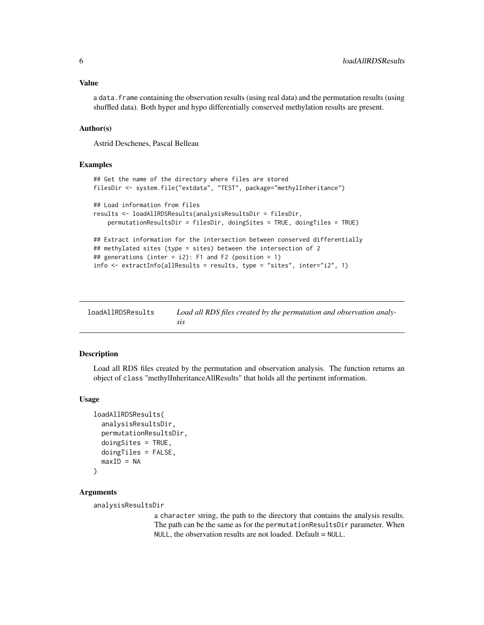#### <span id="page-5-0"></span>Value

a data.frame containing the observation results (using real data) and the permutation results (using shuffled data). Both hyper and hypo differentially conserved methylation results are present.

#### Author(s)

Astrid Deschenes, Pascal Belleau

# Examples

```
## Get the name of the directory where files are stored
filesDir <- system.file("extdata", "TEST", package="methylInheritance")
## Load information from files
results <- loadAllRDSResults(analysisResultsDir = filesDir,
   permutationResultsDir = filesDir, doingSites = TRUE, doingTiles = TRUE)
## Extract information for the intersection between conserved differentially
## methylated sites (type = sites) between the intersection of 2
## generations (inter = i2): F1 and F2 (position = 1)
info <- extractInfo(allResults = results, type = "sites", inter="i2", 1)
```

| loadAllRDSResults | Load all RDS files created by the permutation and observation analy- |
|-------------------|----------------------------------------------------------------------|
|                   |                                                                      |

#### Description

Load all RDS files created by the permutation and observation analysis. The function returns an object of class "methylInheritanceAllResults" that holds all the pertinent information.

#### Usage

```
loadAllRDSResults(
  analysisResultsDir,
  permutationResultsDir,
  doingSites = TRUE,
  doingTiles = FALSE,
 maxID = NA)
```
#### Arguments

analysisResultsDir

a character string, the path to the directory that contains the analysis results. The path can be the same as for the permutationResultsDir parameter. When NULL, the observation results are not loaded. Default = NULL.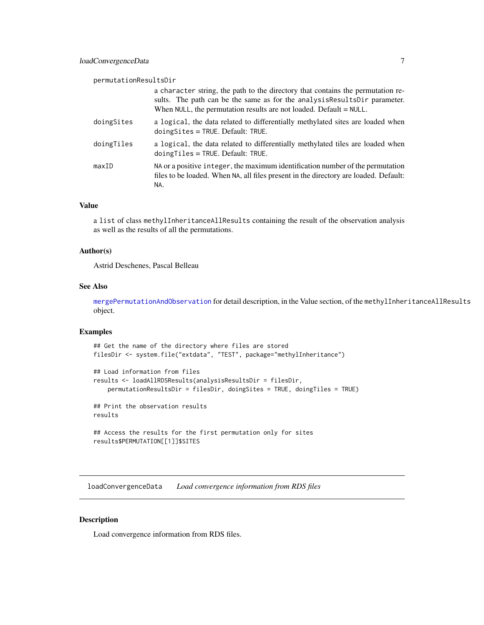<span id="page-6-0"></span>permutationResultsDir

|            | a character string, the path to the directory that contains the permutation re-<br>sults. The path can be the same as for the analysis Results Dir parameter.<br>When NULL, the permutation results are not loaded. Default = NULL. |
|------------|-------------------------------------------------------------------------------------------------------------------------------------------------------------------------------------------------------------------------------------|
| doingSites | a logical, the data related to differentially methylated sites are loaded when<br>$doing Sites = TRUE. Default: TRUE.$                                                                                                              |
| doingTiles | a logical, the data related to differentially methylated tiles are loaded when<br>$doingTiles = TRUE$ . Default: TRUE.                                                                                                              |
| maxID      | NA or a positive integer, the maximum identification number of the permutation<br>files to be loaded. When NA, all files present in the directory are loaded. Default:<br>NA.                                                       |
|            |                                                                                                                                                                                                                                     |

### Value

a list of class methylInheritanceAllResults containing the result of the observation analysis as well as the results of all the permutations.

### Author(s)

Astrid Deschenes, Pascal Belleau

#### See Also

[mergePermutationAndObservation](#page-8-1) for detail description, in the Value section, of the methylInheritanceAllResults object.

#### Examples

## Get the name of the directory where files are stored filesDir <- system.file("extdata", "TEST", package="methylInheritance")

```
## Load information from files
results <- loadAllRDSResults(analysisResultsDir = filesDir,
   permutationResultsDir = filesDir, doingSites = TRUE, doingTiles = TRUE)
## Print the observation results
results
```

```
## Access the results for the first permutation only for sites
results$PERMUTATION[[1]]$SITES
```
loadConvergenceData *Load convergence information from RDS files*

#### Description

Load convergence information from RDS files.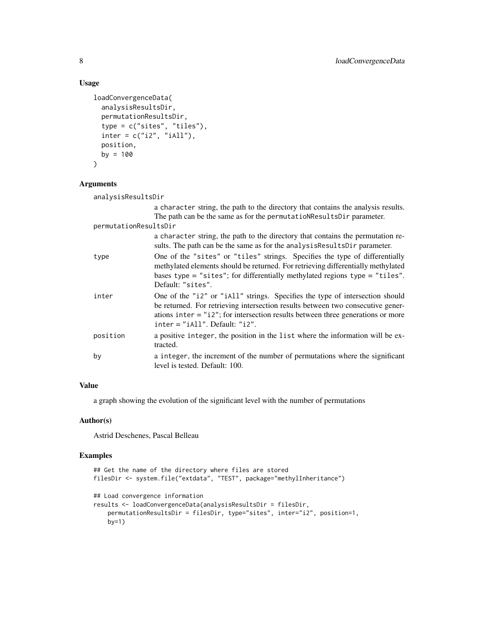#### Usage

```
loadConvergenceData(
  analysisResultsDir,
  permutationResultsDir,
  type = c("sites", "tiles"),
  inter = c("i2", "iAll"),position,
 by = 100)
```
#### Arguments

analysisResultsDir

a character string, the path to the directory that contains the analysis results. The path can be the same as for the permutatioNResultsDir parameter. permutationResultsDir a character string, the path to the directory that contains the permutation results. The path can be the same as for the analysisResultsDir parameter. type One of the "sites" or "tiles" strings. Specifies the type of differentially methylated elements should be returned. For retrieving differentially methylated bases type = "sites"; for differentially methylated regions type = "tiles". Default: "sites". inter One of the "i2" or "iAll" strings. Specifies the type of intersection should be returned. For retrieving intersection results between two consecutive generations inter = "i2"; for intersection results between three generations or more inter = "iAll". Default: "i2". position a positive integer, the position in the list where the information will be extracted. by a integer, the increment of the number of permutations where the significant level is tested. Default: 100.

### Value

a graph showing the evolution of the significant level with the number of permutations

#### Author(s)

Astrid Deschenes, Pascal Belleau

```
## Get the name of the directory where files are stored
filesDir <- system.file("extdata", "TEST", package="methylInheritance")
## Load convergence information
results <- loadConvergenceData(analysisResultsDir = filesDir,
    permutationResultsDir = filesDir, type="sites", inter="i2", position=1,
   by=1)
```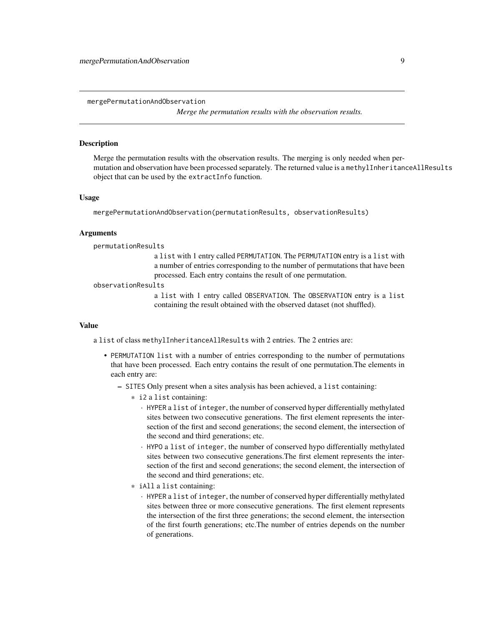<span id="page-8-1"></span><span id="page-8-0"></span>mergePermutationAndObservation

*Merge the permutation results with the observation results.*

# **Description**

Merge the permutation results with the observation results. The merging is only needed when permutation and observation have been processed separately. The returned value is a methylInheritanceAllResults object that can be used by the extractInfo function.

#### Usage

mergePermutationAndObservation(permutationResults, observationResults)

#### Arguments

permutationResults

a list with 1 entry called PERMUTATION. The PERMUTATION entry is a list with a number of entries corresponding to the number of permutations that have been processed. Each entry contains the result of one permutation.

observationResults

a list with 1 entry called OBSERVATION. The OBSERVATION entry is a list containing the result obtained with the observed dataset (not shuffled).

#### Value

a list of class methylInheritanceAllResults with 2 entries. The 2 entries are:

- PERMUTATION list with a number of entries corresponding to the number of permutations that have been processed. Each entry contains the result of one permutation.The elements in each entry are:
	- SITES Only present when a sites analysis has been achieved, a list containing:
		- \* i2 a list containing:
			- · HYPER a list of integer, the number of conserved hyper differentially methylated sites between two consecutive generations. The first element represents the intersection of the first and second generations; the second element, the intersection of the second and third generations; etc.
			- · HYPO a list of integer, the number of conserved hypo differentially methylated sites between two consecutive generations.The first element represents the intersection of the first and second generations; the second element, the intersection of the second and third generations; etc.
		- \* iAll a list containing:
			- · HYPER a list of integer, the number of conserved hyper differentially methylated sites between three or more consecutive generations. The first element represents the intersection of the first three generations; the second element, the intersection of the first fourth generations; etc.The number of entries depends on the number of generations.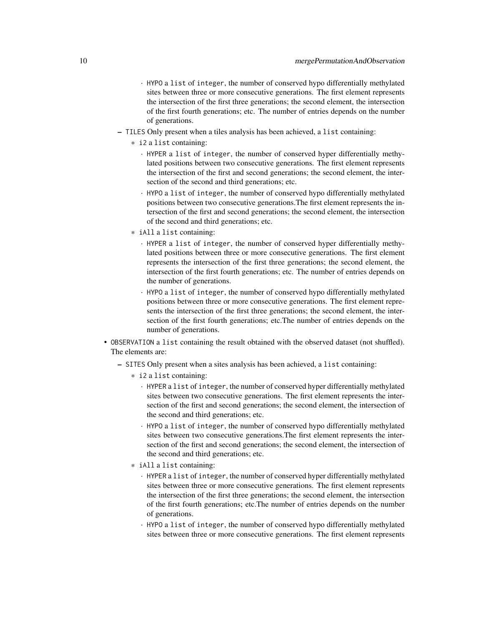- · HYPO a list of integer, the number of conserved hypo differentially methylated sites between three or more consecutive generations. The first element represents the intersection of the first three generations; the second element, the intersection of the first fourth generations; etc. The number of entries depends on the number of generations.
- TILES Only present when a tiles analysis has been achieved, a list containing:
	- \* i2 a list containing:
		- · HYPER a list of integer, the number of conserved hyper differentially methylated positions between two consecutive generations. The first element represents the intersection of the first and second generations; the second element, the intersection of the second and third generations; etc.
		- · HYPO a list of integer, the number of conserved hypo differentially methylated positions between two consecutive generations.The first element represents the intersection of the first and second generations; the second element, the intersection of the second and third generations; etc.
	- \* iAll a list containing:
		- · HYPER a list of integer, the number of conserved hyper differentially methylated positions between three or more consecutive generations. The first element represents the intersection of the first three generations; the second element, the intersection of the first fourth generations; etc. The number of entries depends on the number of generations.
		- · HYPO a list of integer, the number of conserved hypo differentially methylated positions between three or more consecutive generations. The first element represents the intersection of the first three generations; the second element, the intersection of the first fourth generations; etc.The number of entries depends on the number of generations.
- OBSERVATION a list containing the result obtained with the observed dataset (not shuffled). The elements are:
	- SITES Only present when a sites analysis has been achieved, a list containing:
		- \* i2 a list containing:
			- · HYPER a list of integer, the number of conserved hyper differentially methylated sites between two consecutive generations. The first element represents the intersection of the first and second generations; the second element, the intersection of the second and third generations; etc.
			- · HYPO a list of integer, the number of conserved hypo differentially methylated sites between two consecutive generations.The first element represents the intersection of the first and second generations; the second element, the intersection of the second and third generations; etc.
		- \* iAll a list containing:
			- · HYPER a list of integer, the number of conserved hyper differentially methylated sites between three or more consecutive generations. The first element represents the intersection of the first three generations; the second element, the intersection of the first fourth generations; etc.The number of entries depends on the number of generations.
			- · HYPO a list of integer, the number of conserved hypo differentially methylated sites between three or more consecutive generations. The first element represents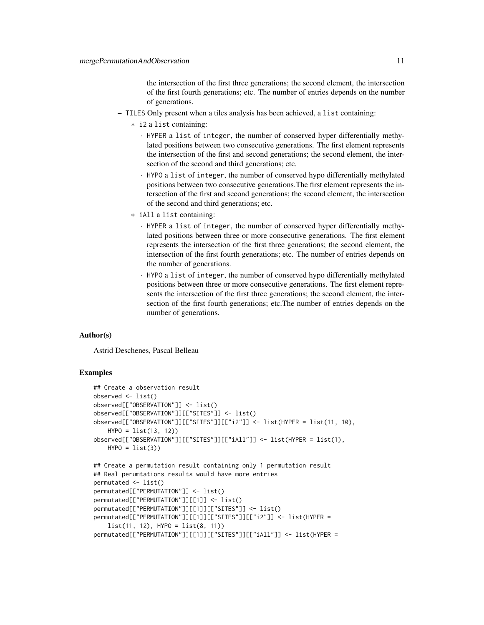the intersection of the first three generations; the second element, the intersection of the first fourth generations; etc. The number of entries depends on the number of generations.

- TILES Only present when a tiles analysis has been achieved, a list containing:
	- \* i2 a list containing:
		- · HYPER a list of integer, the number of conserved hyper differentially methylated positions between two consecutive generations. The first element represents the intersection of the first and second generations; the second element, the intersection of the second and third generations; etc.
		- · HYPO a list of integer, the number of conserved hypo differentially methylated positions between two consecutive generations.The first element represents the intersection of the first and second generations; the second element, the intersection of the second and third generations; etc.
	- \* iAll a list containing:
		- · HYPER a list of integer, the number of conserved hyper differentially methylated positions between three or more consecutive generations. The first element represents the intersection of the first three generations; the second element, the intersection of the first fourth generations; etc. The number of entries depends on the number of generations.
		- · HYPO a list of integer, the number of conserved hypo differentially methylated positions between three or more consecutive generations. The first element represents the intersection of the first three generations; the second element, the intersection of the first fourth generations; etc.The number of entries depends on the number of generations.

#### Author(s)

Astrid Deschenes, Pascal Belleau

#### Examples

```
## Create a observation result
observed <- list()
observed[["OBSERVATION"]] <- list()
observed[["OBSERVATION"]][["SITES"]] <- list()
observed[["OBSERVATION"]][["SITES"]][["i2"]] <- list(HYPER = list(11, 10),
   HYPO = list(13, 12))
observed[["OBSERVATION"]][["SITES"]][["iAll"]] <- list(HYPER = list(1),
   HYP0 = list(3)## Create a permutation result containing only 1 permutation result
## Real perumtations results would have more entries
permutated <- list()
permutated[["PERMUTATION"]] <- list()
```
permutated[["PERMUTATION"]][[1]] <- list()

```
permutated[["PERMUTATION"]][[1]][["SITES"]] <- list()
permutated[["PERMUTATION"]][[1]][["SITES"]][["i2"]] <- list(HYPER =
    list(11, 12), HYP0 = list(8, 11))
```

```
permutated[["PERMUTATION"]][[1]][["SITES"]][["iAll"]] <- list(HYPER =
```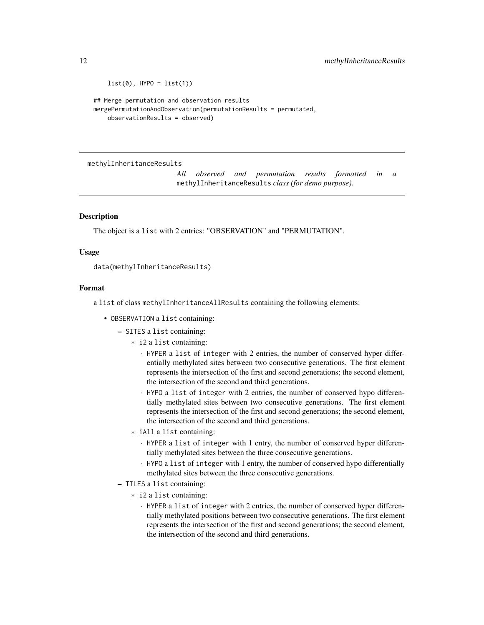```
list(0), HYP0 = list(1)## Merge permutation and observation results
mergePermutationAndObservation(permutationResults = permutated,
```
observationResults = observed)

methylInheritanceResults

*All observed and permutation results formatted in a* methylInheritanceResults *class (for demo purpose).*

#### Description

The object is a list with 2 entries: "OBSERVATION" and "PERMUTATION".

#### Usage

```
data(methylInheritanceResults)
```
### Format

a list of class methylInheritanceAllResults containing the following elements:

- OBSERVATION a list containing:
	- SITES a list containing:
		- \* i2 a list containing:
			- · HYPER a list of integer with 2 entries, the number of conserved hyper differentially methylated sites between two consecutive generations. The first element represents the intersection of the first and second generations; the second element, the intersection of the second and third generations.
			- · HYPO a list of integer with 2 entries, the number of conserved hypo differentially methylated sites between two consecutive generations. The first element represents the intersection of the first and second generations; the second element, the intersection of the second and third generations.
		- \* iAll a list containing:
			- · HYPER a list of integer with 1 entry, the number of conserved hyper differentially methylated sites between the three consecutive generations.
			- · HYPO a list of integer with 1 entry, the number of conserved hypo differentially methylated sites between the three consecutive generations.
	- TILES a list containing:
		- \* i2 a list containing:
			- · HYPER a list of integer with 2 entries, the number of conserved hyper differentially methylated positions between two consecutive generations. The first element represents the intersection of the first and second generations; the second element, the intersection of the second and third generations.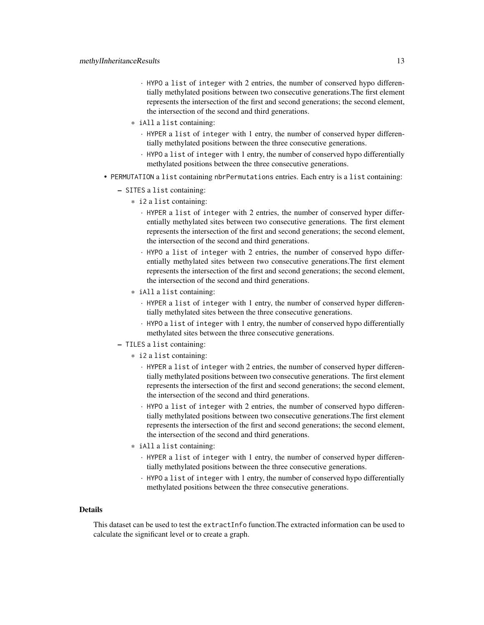- · HYPO a list of integer with 2 entries, the number of conserved hypo differentially methylated positions between two consecutive generations.The first element represents the intersection of the first and second generations; the second element, the intersection of the second and third generations.
- \* iAll a list containing:
	- · HYPER a list of integer with 1 entry, the number of conserved hyper differentially methylated positions between the three consecutive generations.
	- · HYPO a list of integer with 1 entry, the number of conserved hypo differentially methylated positions between the three consecutive generations.
- PERMUTATION a list containing nbrPermutations entries. Each entry is a list containing:
	- SITES a list containing:
		- \* i2 a list containing:
			- · HYPER a list of integer with 2 entries, the number of conserved hyper differentially methylated sites between two consecutive generations. The first element represents the intersection of the first and second generations; the second element, the intersection of the second and third generations.
			- · HYPO a list of integer with 2 entries, the number of conserved hypo differentially methylated sites between two consecutive generations.The first element represents the intersection of the first and second generations; the second element, the intersection of the second and third generations.
		- \* iAll a list containing:
			- · HYPER a list of integer with 1 entry, the number of conserved hyper differentially methylated sites between the three consecutive generations.
			- · HYPO a list of integer with 1 entry, the number of conserved hypo differentially methylated sites between the three consecutive generations.
	- TILES a list containing:
		- \* i2 a list containing:
			- · HYPER a list of integer with 2 entries, the number of conserved hyper differentially methylated positions between two consecutive generations. The first element represents the intersection of the first and second generations; the second element, the intersection of the second and third generations.
			- · HYPO a list of integer with 2 entries, the number of conserved hypo differentially methylated positions between two consecutive generations.The first element represents the intersection of the first and second generations; the second element, the intersection of the second and third generations.
		- \* iAll a list containing:
			- · HYPER a list of integer with 1 entry, the number of conserved hyper differentially methylated positions between the three consecutive generations.
			- · HYPO a list of integer with 1 entry, the number of conserved hypo differentially methylated positions between the three consecutive generations.

#### **Details**

This dataset can be used to test the extractInfo function.The extracted information can be used to calculate the significant level or to create a graph.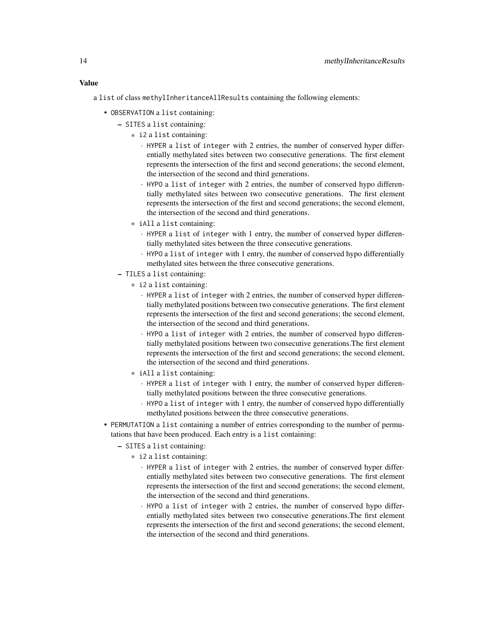# Value

a list of class methylInheritanceAllResults containing the following elements:

- OBSERVATION a list containing:
	- SITES a list containing:
		- \* i2 a list containing:
			- · HYPER a list of integer with 2 entries, the number of conserved hyper differentially methylated sites between two consecutive generations. The first element represents the intersection of the first and second generations; the second element, the intersection of the second and third generations.
			- · HYPO a list of integer with 2 entries, the number of conserved hypo differentially methylated sites between two consecutive generations. The first element represents the intersection of the first and second generations; the second element, the intersection of the second and third generations.
		- \* iAll a list containing:
			- · HYPER a list of integer with 1 entry, the number of conserved hyper differentially methylated sites between the three consecutive generations.
			- · HYPO a list of integer with 1 entry, the number of conserved hypo differentially methylated sites between the three consecutive generations.
	- TILES a list containing:
		- \* i2 a list containing:
			- · HYPER a list of integer with 2 entries, the number of conserved hyper differentially methylated positions between two consecutive generations. The first element represents the intersection of the first and second generations; the second element, the intersection of the second and third generations.
			- · HYPO a list of integer with 2 entries, the number of conserved hypo differentially methylated positions between two consecutive generations.The first element represents the intersection of the first and second generations; the second element, the intersection of the second and third generations.
		- \* iAll a list containing:
			- · HYPER a list of integer with 1 entry, the number of conserved hyper differentially methylated positions between the three consecutive generations.
			- · HYPO a list of integer with 1 entry, the number of conserved hypo differentially methylated positions between the three consecutive generations.
- PERMUTATION a list containing a number of entries corresponding to the number of permutations that have been produced. Each entry is a list containing:
	- SITES a list containing:
		- \* i2 a list containing:
			- · HYPER a list of integer with 2 entries, the number of conserved hyper differentially methylated sites between two consecutive generations. The first element represents the intersection of the first and second generations; the second element, the intersection of the second and third generations.
			- · HYPO a list of integer with 2 entries, the number of conserved hypo differentially methylated sites between two consecutive generations.The first element represents the intersection of the first and second generations; the second element, the intersection of the second and third generations.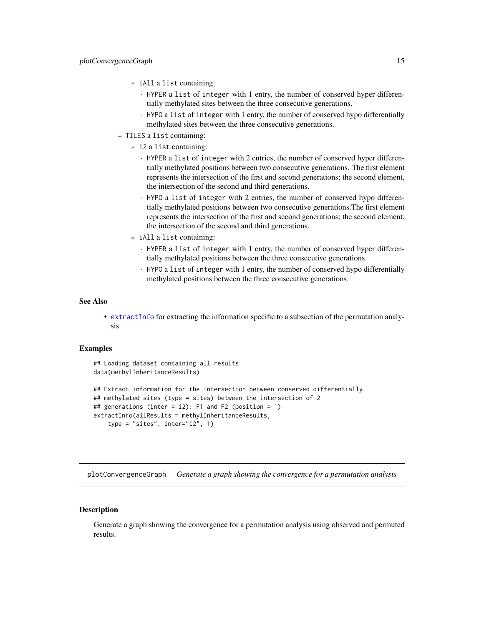- <span id="page-14-0"></span>\* iAll a list containing:
	- · HYPER a list of integer with 1 entry, the number of conserved hyper differentially methylated sites between the three consecutive generations.
	- · HYPO a list of integer with 1 entry, the number of conserved hypo differentially methylated sites between the three consecutive generations.
- TILES a list containing:
	- \* i2 a list containing:
		- · HYPER a list of integer with 2 entries, the number of conserved hyper differentially methylated positions between two consecutive generations. The first element represents the intersection of the first and second generations; the second element, the intersection of the second and third generations.
		- · HYPO a list of integer with 2 entries, the number of conserved hypo differentially methylated positions between two consecutive generations.The first element represents the intersection of the first and second generations; the second element, the intersection of the second and third generations.
	- \* iAll a list containing:
		- · HYPER a list of integer with 1 entry, the number of conserved hyper differentially methylated positions between the three consecutive generations.
		- · HYPO a list of integer with 1 entry, the number of conserved hypo differentially methylated positions between the three consecutive generations.

#### See Also

• [extractInfo](#page-4-1) for extracting the information specific to a subsection of the permutation analysis

#### Examples

```
## Loading dataset containing all results
data(methylInheritanceResults)
## Extract information for the intersection between conserved differentially
## methylated sites (type = sites) between the intersection of 2
## generations (inter = i2): F1 and F2 (position = 1)
extractInfo(allResults = methylInheritanceResults,
    type = "sites", inter="i2", 1)
```
plotConvergenceGraph *Generate a graph showing the convergence for a permutation analysis*

#### **Description**

Generate a graph showing the convergence for a permutation analysis using observed and permuted results.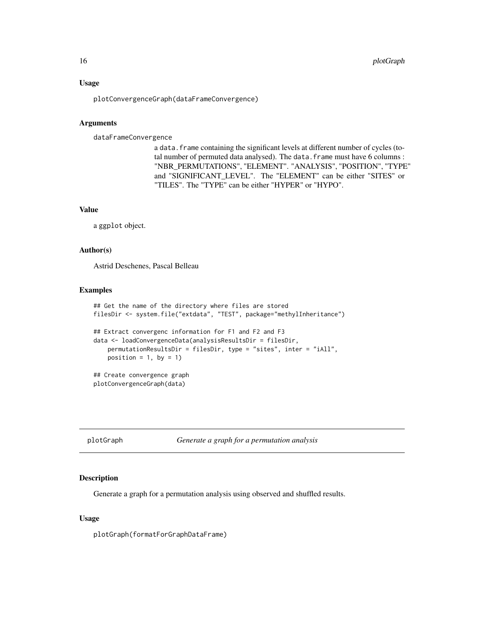#### <span id="page-15-0"></span>Usage

plotConvergenceGraph(dataFrameConvergence)

#### Arguments

dataFrameConvergence

a data. frame containing the significant levels at different number of cycles (total number of permuted data analysed). The data.frame must have 6 columns : "NBR\_PERMUTATIONS", "ELEMENT". "ANALYSIS", "POSITION", "TYPE" and "SIGNIFICANT\_LEVEL". The "ELEMENT" can be either "SITES" or "TILES". The "TYPE" can be either "HYPER" or "HYPO".

#### Value

a ggplot object.

#### Author(s)

Astrid Deschenes, Pascal Belleau

### Examples

```
## Get the name of the directory where files are stored
filesDir <- system.file("extdata", "TEST", package="methylInheritance")
## Extract convergenc information for F1 and F2 and F3
data <- loadConvergenceData(analysisResultsDir = filesDir,
   permutationResultsDir = filesDir, type = "sites", inter = "iAll",
   position = 1, by = 1)
## Create convergence graph
plotConvergenceGraph(data)
```
plotGraph *Generate a graph for a permutation analysis*

#### Description

Generate a graph for a permutation analysis using observed and shuffled results.

#### Usage

plotGraph(formatForGraphDataFrame)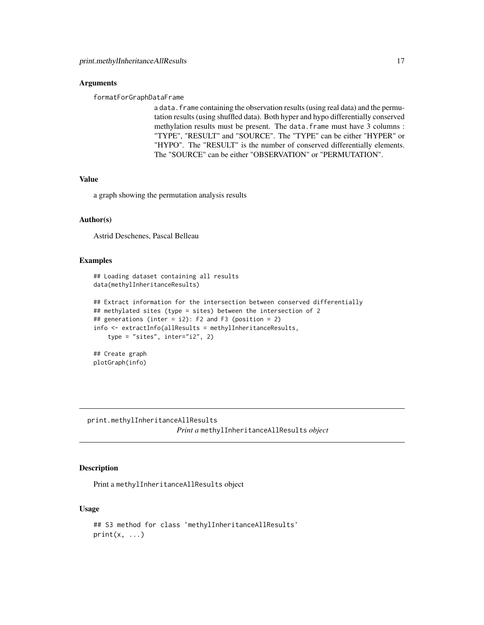#### <span id="page-16-0"></span>**Arguments**

formatForGraphDataFrame

a data. frame containing the observation results (using real data) and the permutation results (using shuffled data). Both hyper and hypo differentially conserved methylation results must be present. The data.frame must have 3 columns : "TYPE", "RESULT" and "SOURCE". The "TYPE" can be either "HYPER" or "HYPO". The "RESULT" is the number of conserved differentially elements. The "SOURCE" can be either "OBSERVATION" or "PERMUTATION".

#### Value

a graph showing the permutation analysis results

#### Author(s)

Astrid Deschenes, Pascal Belleau

# Examples

## Loading dataset containing all results data(methylInheritanceResults)

```
## Extract information for the intersection between conserved differentially
## methylated sites (type = sites) between the intersection of 2
## generations (inter = i2): F2 and F3 (position = 2)
info <- extractInfo(allResults = methylInheritanceResults,
    type = "sites", inter="i2", 2)
## Create graph
```
plotGraph(info)

print.methylInheritanceAllResults *Print a* methylInheritanceAllResults *object*

# Description

Print a methylInheritanceAllResults object

#### Usage

```
## S3 method for class 'methylInheritanceAllResults'
print(x, \ldots)
```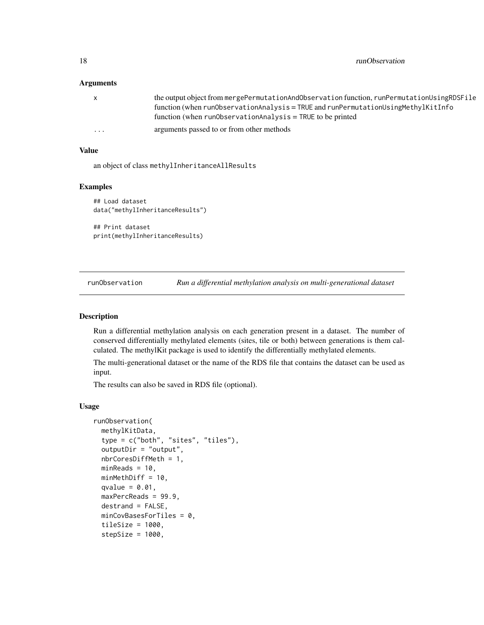#### <span id="page-17-0"></span>**Arguments**

|          | the output object from mergePermutationAndObservation function, runPermutationUsingRDSFile |
|----------|--------------------------------------------------------------------------------------------|
|          | $function (when runObservationAnalysis = TRUE and runPermutationUsingMethod of the image)$ |
|          | function (when $runObservationAnalysis = TRUE$ to be printed                               |
| $\cdots$ | arguments passed to or from other methods                                                  |

#### Value

an object of class methylInheritanceAllResults

#### Examples

```
## Load dataset
data("methylInheritanceResults")
## Print dataset
```
print(methylInheritanceResults)

<span id="page-17-1"></span>runObservation *Run a differential methylation analysis on multi-generational dataset*

#### Description

Run a differential methylation analysis on each generation present in a dataset. The number of conserved differentially methylated elements (sites, tile or both) between generations is them calculated. The methylKit package is used to identify the differentially methylated elements.

The multi-generational dataset or the name of the RDS file that contains the dataset can be used as input.

The results can also be saved in RDS file (optional).

#### Usage

```
runObservation(
 methylKitData,
  type = c("both", "sites", "tiles"),
  outputDir = "output",
  nbrCoresDiffMeth = 1,
 minReads = 10,
 minMethDiff = 10,
  qvalue = 0.01,
 maxPercReads = 99.9,
  destrand = FALSE,
 minCovBasesForTiles = 0,
  tileSize = 1000,stepSize = 1000,
```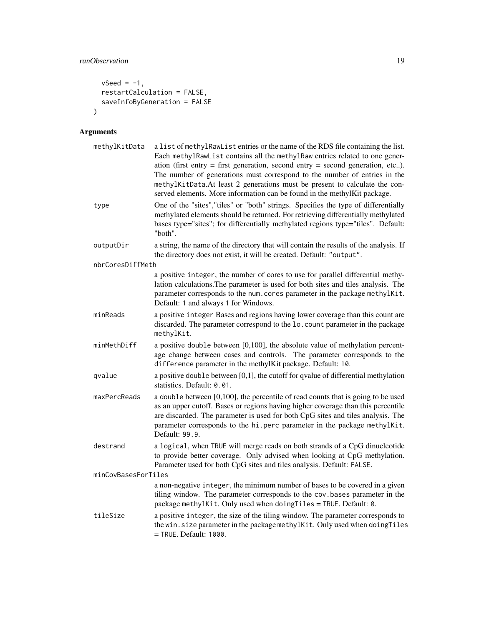# runObservation 19

```
vSeed = -1,
 restartCalculation = FALSE,
 saveInfoByGeneration = FALSE
)
```
# Arguments

| methylKitData       | a list of methylRawList entries or the name of the RDS file containing the list.<br>Each methylRawList contains all the methylRaw entries related to one gener-<br>ation (first entry $=$ first generation, second entry $=$ second generation, etc).<br>The number of generations must correspond to the number of entries in the<br>methylKitData.At least 2 generations must be present to calculate the con-<br>served elements. More information can be found in the methylKit package. |
|---------------------|----------------------------------------------------------------------------------------------------------------------------------------------------------------------------------------------------------------------------------------------------------------------------------------------------------------------------------------------------------------------------------------------------------------------------------------------------------------------------------------------|
| type                | One of the "sites", "tiles" or "both" strings. Specifies the type of differentially<br>methylated elements should be returned. For retrieving differentially methylated<br>bases type="sites"; for differentially methylated regions type="tiles". Default:<br>"both".                                                                                                                                                                                                                       |
| outputDir           | a string, the name of the directory that will contain the results of the analysis. If<br>the directory does not exist, it will be created. Default: "output".                                                                                                                                                                                                                                                                                                                                |
| nbrCoresDiffMeth    |                                                                                                                                                                                                                                                                                                                                                                                                                                                                                              |
|                     | a positive integer, the number of cores to use for parallel differential methy-<br>lation calculations. The parameter is used for both sites and tiles analysis. The<br>parameter corresponds to the num. cores parameter in the package methylKit.<br>Default: 1 and always 1 for Windows.                                                                                                                                                                                                  |
| minReads            | a positive integer Bases and regions having lower coverage than this count are<br>discarded. The parameter correspond to the 1o. count parameter in the package<br>methylKit.                                                                                                                                                                                                                                                                                                                |
| minMethDiff         | a positive double between [0,100], the absolute value of methylation percent-<br>age change between cases and controls. The parameter corresponds to the<br>difference parameter in the methylKit package. Default: 10.                                                                                                                                                                                                                                                                      |
| qvalue              | a positive double between $[0,1]$ , the cutoff for qvalue of differential methylation<br>statistics. Default: 0.01.                                                                                                                                                                                                                                                                                                                                                                          |
| maxPercReads        | a double between [0,100], the percentile of read counts that is going to be used<br>as an upper cutoff. Bases or regions having higher coverage than this percentile<br>are discarded. The parameter is used for both CpG sites and tiles analysis. The<br>parameter corresponds to the hi.perc parameter in the package methylKit.<br>Default: 99.9.                                                                                                                                        |
| destrand            | a logical, when TRUE will merge reads on both strands of a CpG dinucleotide<br>to provide better coverage. Only advised when looking at CpG methylation.<br>Parameter used for both CpG sites and tiles analysis. Default: FALSE.                                                                                                                                                                                                                                                            |
| minCovBasesForTiles |                                                                                                                                                                                                                                                                                                                                                                                                                                                                                              |
|                     | a non-negative integer, the minimum number of bases to be covered in a given<br>tiling window. The parameter corresponds to the cov. bases parameter in the<br>package methylKit. Only used when doing Tiles = TRUE. Default: 0.                                                                                                                                                                                                                                                             |
| tileSize            | a positive integer, the size of the tiling window. The parameter corresponds to<br>the win.size parameter in the package methylKit. Only used when doing Tiles<br>= TRUE. Default: 1000.                                                                                                                                                                                                                                                                                                     |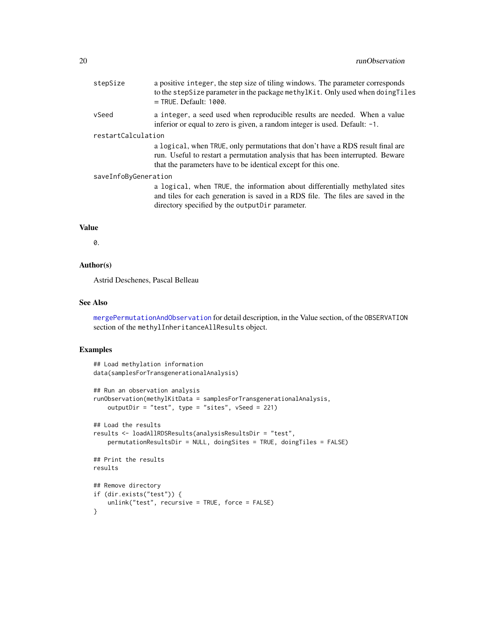<span id="page-19-0"></span>

| stepSize | a positive integer, the step size of tiling windows. The parameter corresponds |
|----------|--------------------------------------------------------------------------------|
|          | to the stepSize parameter in the package methylkit. Only used when doing Tiles |
|          | $=$ TRUE. Default: 1000.                                                       |
| vSeed    | a integer, a seed used when reproducible results are needed. When a value      |

inferior or equal to zero is given, a random integer is used. Default: -1.

#### restartCalculation

a logical, when TRUE, only permutations that don't have a RDS result final are run. Useful to restart a permutation analysis that has been interrupted. Beware that the parameters have to be identical except for this one.

#### saveInfoByGeneration

a logical, when TRUE, the information about differentially methylated sites and tiles for each generation is saved in a RDS file. The files are saved in the directory specified by the outputDir parameter.

# Value

0.

# Author(s)

Astrid Deschenes, Pascal Belleau

#### See Also

[mergePermutationAndObservation](#page-8-1) for detail description, in the Value section, of the OBSERVATION section of the methylInheritanceAllResults object.

```
## Load methylation information
data(samplesForTransgenerationalAnalysis)
## Run an observation analysis
runObservation(methylKitData = samplesForTransgenerationalAnalysis,
   outputDir = "test", type = "sites", vSeed = 221)
## Load the results
results <- loadAllRDSResults(analysisResultsDir = "test",
   permutationResultsDir = NULL, doingSites = TRUE, doingTiles = FALSE)
## Print the results
results
## Remove directory
if (dir.exists("test")) {
    unlink("test", recursive = TRUE, force = FALSE)
}
```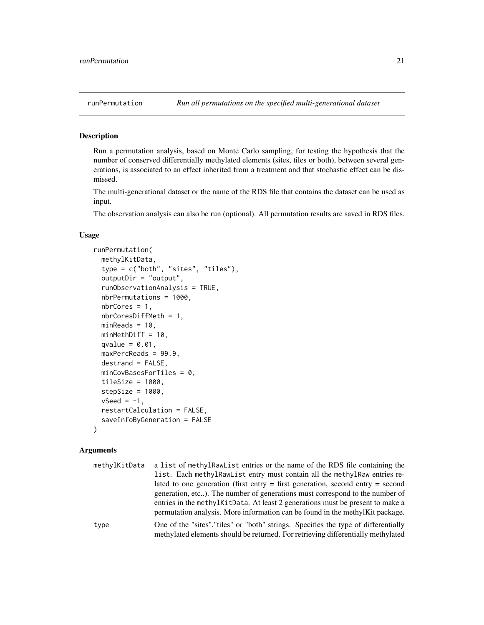<span id="page-20-1"></span><span id="page-20-0"></span>

#### Description

Run a permutation analysis, based on Monte Carlo sampling, for testing the hypothesis that the number of conserved differentially methylated elements (sites, tiles or both), between several generations, is associated to an effect inherited from a treatment and that stochastic effect can be dismissed.

The multi-generational dataset or the name of the RDS file that contains the dataset can be used as input.

The observation analysis can also be run (optional). All permutation results are saved in RDS files.

#### Usage

```
runPermutation(
 methylKitData,
  type = c("both", "sites", "tiles"),
  outputDir = "output",
  runObservationAnalysis = TRUE,
  nbrPermutations = 1000,
  nbrCores = 1,
  nbrCoresDiffMeth = 1,
 minReads = 10,minMethDiff = 10,
  qvalue = 0.01,
 maxPercReads = 99.9,
  destrand = FALSE,
 minCovBasesForFiles = 0,tileSize = 1000,stepSize = 1000,
  vSeed = -1,
  restartCalculation = FALSE,
  saveInfoByGeneration = FALSE
)
```
#### Arguments

| methylKitData | a list of methylRawList entries or the name of the RDS file containing the                                                                                              |
|---------------|-------------------------------------------------------------------------------------------------------------------------------------------------------------------------|
|               | list. Each methylRawList entry must contain all the methylRaw entries re-                                                                                               |
|               | lated to one generation (first entry $=$ first generation, second entry $=$ second                                                                                      |
|               | generation, etc). The number of generations must correspond to the number of                                                                                            |
|               | entries in the methylKitData. At least 2 generations must be present to make a<br>permutation analysis. More information can be found in the methylKit package.         |
|               |                                                                                                                                                                         |
| type          | One of the "sites", "tiles" or "both" strings. Specifies the type of differentially<br>methylated elements should be returned. For retrieving differentially methylated |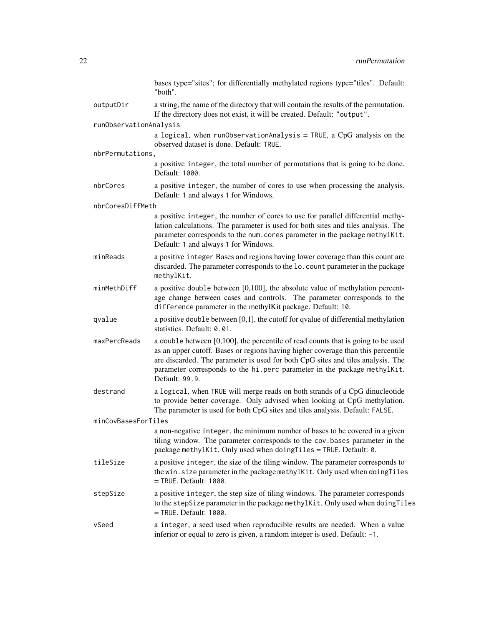|                        | bases type="sites"; for differentially methylated regions type="tiles". Default:<br>"both".                                                                                                                                                                                                                                                              |
|------------------------|----------------------------------------------------------------------------------------------------------------------------------------------------------------------------------------------------------------------------------------------------------------------------------------------------------------------------------------------------------|
| outputDir              | a string, the name of the directory that will contain the results of the permutation.<br>If the directory does not exist, it will be created. Default: "output".                                                                                                                                                                                         |
| runObservationAnalysis |                                                                                                                                                                                                                                                                                                                                                          |
|                        | a logical, when run0bservationAnalysis = TRUE, a CpG analysis on the<br>observed dataset is done. Default: TRUE.                                                                                                                                                                                                                                         |
| nbrPermutations,       |                                                                                                                                                                                                                                                                                                                                                          |
|                        | a positive integer, the total number of permutations that is going to be done.<br>Default: 1000.                                                                                                                                                                                                                                                         |
| nbrCores               | a positive integer, the number of cores to use when processing the analysis.<br>Default: 1 and always 1 for Windows.                                                                                                                                                                                                                                     |
| nbrCoresDiffMeth       |                                                                                                                                                                                                                                                                                                                                                          |
|                        | a positive integer, the number of cores to use for parallel differential methy-<br>lation calculations. The parameter is used for both sites and tiles analysis. The<br>parameter corresponds to the num. cores parameter in the package methylKit.<br>Default: 1 and always 1 for Windows.                                                              |
| minReads               | a positive integer Bases and regions having lower coverage than this count are<br>discarded. The parameter corresponds to the 1o. count parameter in the package<br>methylKit.                                                                                                                                                                           |
| minMethDiff            | a positive double between $[0,100]$ , the absolute value of methylation percent-<br>age change between cases and controls. The parameter corresponds to the<br>difference parameter in the methylKit package. Default: 10.                                                                                                                               |
| qvalue                 | a positive double between $[0,1]$ , the cutoff for qvalue of differential methylation<br>statistics. Default: 0.01.                                                                                                                                                                                                                                      |
| maxPercReads           | a double between $[0,100]$ , the percentile of read counts that is going to be used<br>as an upper cutoff. Bases or regions having higher coverage than this percentile<br>are discarded. The parameter is used for both CpG sites and tiles analysis. The<br>parameter corresponds to the hi.perc parameter in the package methylKit.<br>Default: 99.9. |
| destrand               | a logical, when TRUE will merge reads on both strands of a CpG dinucleotide<br>to provide better coverage. Only advised when looking at CpG methylation.<br>The parameter is used for both CpG sites and tiles analysis. Default: FALSE.                                                                                                                 |
| minCovBasesForTiles    |                                                                                                                                                                                                                                                                                                                                                          |
|                        | a non-negative integer, the minimum number of bases to be covered in a given<br>tiling window. The parameter corresponds to the cov. bases parameter in the<br>package methylKit. Only used when doing Tiles = TRUE. Default: 0.                                                                                                                         |
| tileSize               | a positive integer, the size of the tiling window. The parameter corresponds to<br>the win.size parameter in the package methylKit. Only used when doing Tiles<br>= TRUE. Default: 1000.                                                                                                                                                                 |
| stepSize               | a positive integer, the step size of tiling windows. The parameter corresponds<br>to the stepSize parameter in the package methylKit. Only used when doingTiles<br>$=$ TRUE. Default: 1000.                                                                                                                                                              |
| vSeed                  | a integer, a seed used when reproducible results are needed. When a value<br>inferior or equal to zero is given, a random integer is used. Default: -1.                                                                                                                                                                                                  |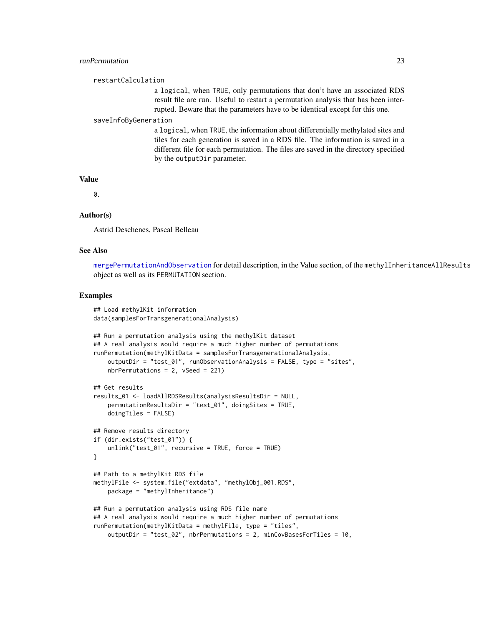#### <span id="page-22-0"></span>runPermutation 23

#### restartCalculation

a logical, when TRUE, only permutations that don't have an associated RDS result file are run. Useful to restart a permutation analysis that has been interrupted. Beware that the parameters have to be identical except for this one.

#### saveInfoByGeneration

a logical, when TRUE, the information about differentially methylated sites and tiles for each generation is saved in a RDS file. The information is saved in a different file for each permutation. The files are saved in the directory specified by the outputDir parameter.

#### Value

 $\Omega$ 

### Author(s)

Astrid Deschenes, Pascal Belleau

#### See Also

[mergePermutationAndObservation](#page-8-1) for detail description, in the Value section, of the methylInheritanceAllResults object as well as its PERMUTATION section.

```
## Load methylKit information
data(samplesForTransgenerationalAnalysis)
## Run a permutation analysis using the methylKit dataset
## A real analysis would require a much higher number of permutations
runPermutation(methylKitData = samplesForTransgenerationalAnalysis,
    outputDir = "test_01", runObservationAnalysis = FALSE, type = "sites",
   nbrPermutations = 2, vSeed = 221)
## Get results
results_01 <- loadAllRDSResults(analysisResultsDir = NULL,
    permutationResultsDir = "test_01", doingSites = TRUE,
    doingTiles = FALSE)
## Remove results directory
if (dir.exists("test_01")) {
    unlink("test_01", recursive = TRUE, force = TRUE)
}
## Path to a methylKit RDS file
methylFile <- system.file("extdata", "methylObj_001.RDS",
    package = "methylInheritance")
## Run a permutation analysis using RDS file name
## A real analysis would require a much higher number of permutations
runPermutation(methylKitData = methylFile, type = "tiles",
    outputDir = "test_02", nbrPermutations = 2, minCovBasesForTiles = 10,
```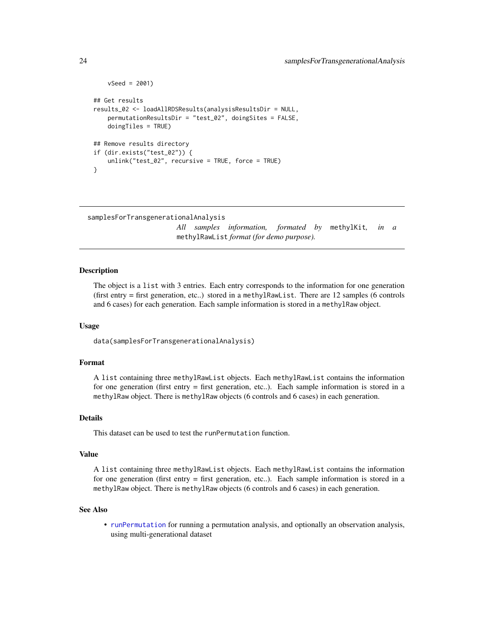```
vSeed = 2001)
## Get results
results_02 <- loadAllRDSResults(analysisResultsDir = NULL,
   permutationResultsDir = "test_02", doingSites = FALSE,
    doingTiles = TRUE)
## Remove results directory
if (dir.exists("test_02")) {
    unlink("test_02", recursive = TRUE, force = TRUE)
}
```

```
samplesForTransgenerationalAnalysis
```
*All samples information, formated by* methylKit*, in a* methylRawList *format (for demo purpose).*

#### Description

The object is a list with 3 entries. Each entry corresponds to the information for one generation (first entry = first generation, etc..) stored in a methylRawList. There are 12 samples (6 controls and 6 cases) for each generation. Each sample information is stored in a methylRaw object.

#### Usage

data(samplesForTransgenerationalAnalysis)

#### Format

A list containing three methylRawList objects. Each methylRawList contains the information for one generation (first entry = first generation, etc..). Each sample information is stored in a methylRaw object. There is methylRaw objects (6 controls and 6 cases) in each generation.

#### Details

This dataset can be used to test the runPermutation function.

#### Value

A list containing three methylRawList objects. Each methylRawList contains the information for one generation (first entry = first generation, etc..). Each sample information is stored in a methylRaw object. There is methylRaw objects (6 controls and 6 cases) in each generation.

#### See Also

• [runPermutation](#page-20-1) for running a permutation analysis, and optionally an observation analysis, using multi-generational dataset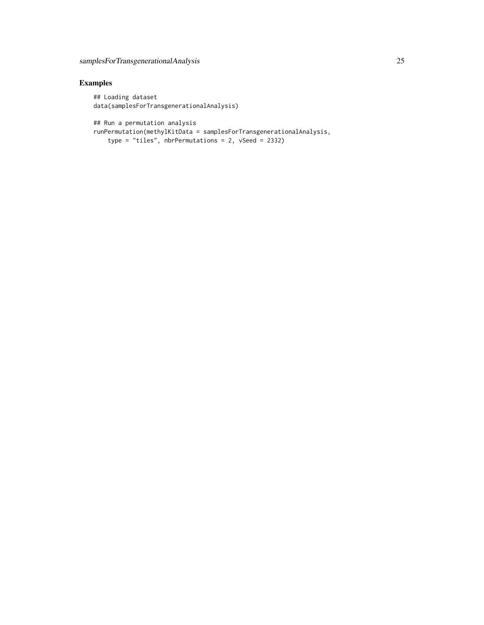# Examples

## Loading dataset data(samplesForTransgenerationalAnalysis)

## Run a permutation analysis

runPermutation(methylKitData = samplesForTransgenerationalAnalysis, type = "tiles", nbrPermutations = 2, vSeed = 2332)